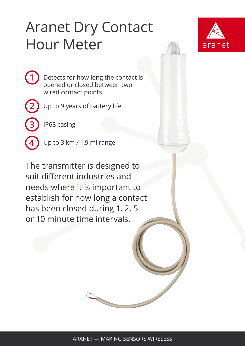## Aranet Dry Contact Hour Meter



Detects for how long the contact is opened or closed between two wired contact points

**2**

**3**

**4**

**1**

Up to 9 years of battery life

IP68 casing

Up to 3 km / 1.9 mi range

The transmitter is designed to suit different industries and needs where it is important to establish for how long a contact has been closed during 1, 2, 5 or 10 minute time intervals.